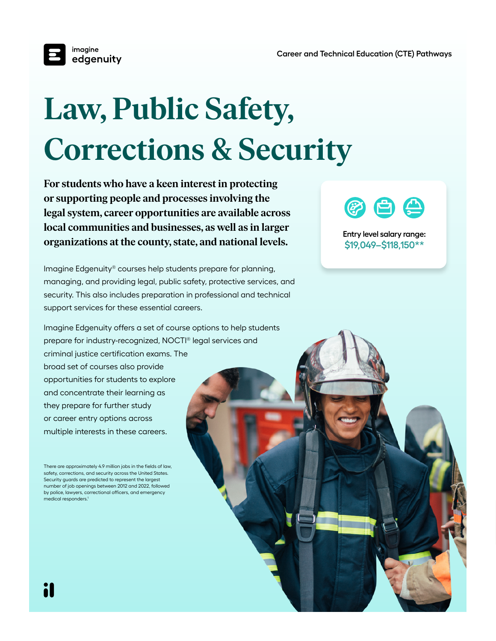

## **Law, Public Safety, Corrections & Security**

**For students who have a keen interest in protecting or supporting people and processes involving the legal system, career opportunities are available across local communities and businesses, as well as in larger organizations at the county, state, and national levels.**

Imagine Edgenuity® courses help students prepare for planning, managing, and providing legal, public safety, protective services, and security. This also includes preparation in professional and technical support services for these essential careers.

Imagine Edgenuity offers a set of course options to help students prepare for industry-recognized, NOCTI® legal services and criminal justice certification exams. The broad set of courses also provide opportunities for students to explore and concentrate their learning as they prepare for further study or career entry options across multiple interests in these careers.

There are approximately 4.9 million jobs in the fields of law, safety, corrections, and security across the United States. Security guards are predicted to represent the largest number of job openings between 2012 and 2022, followed by police, lawyers, correctional officers, and emergency medical responders.1



**Entry level salary range: \$19,049–\$118,150\*\***